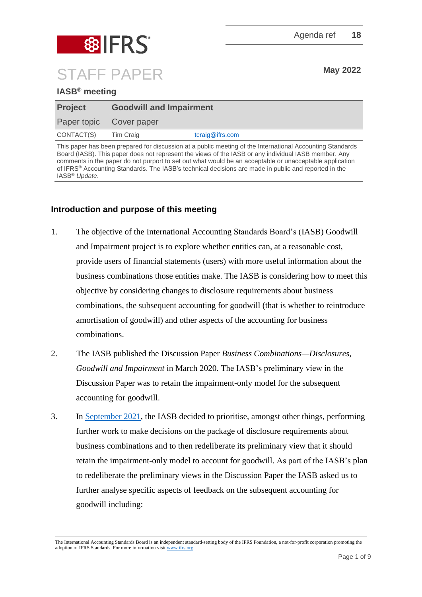

## **IASB® meeting**

| <b>Project</b>          | <b>Goodwill and Impairment</b> |                    |
|-------------------------|--------------------------------|--------------------|
| Paper topic Cover paper |                                |                    |
| CONTACT(S)              | Tim Craig                      | $t$ craig@ifrs.com |

This paper has been prepared for discussion at a public meeting of the International Accounting Standards Board (IASB). This paper does not represent the views of the IASB or any individual IASB member. Any comments in the paper do not purport to set out what would be an acceptable or unacceptable application of IFRS® Accounting Standards. The IASB's technical decisions are made in public and reported in the IASB® *Update*.

## **Introduction and purpose of this meeting**

- 1. The objective of the International Accounting Standards Board's (IASB) Goodwill and Impairment project is to explore whether entities can, at a reasonable cost, provide users of financial statements (users) with more useful information about the business combinations those entities make. The IASB is considering how to meet this objective by considering changes to disclosure requirements about business combinations, the subsequent accounting for goodwill (that is whether to reintroduce amortisation of goodwill) and other aspects of the accounting for business combinations.
- 2. The IASB published the Discussion Paper *Business Combinations—Disclosures, Goodwill and Impairment* in March 2020. The IASB's preliminary view in the Discussion Paper was to retain the impairment-only model for the subsequent accounting for goodwill.
- 3. In [September 2021,](https://www.ifrs.org/news-and-events/updates/iasb/2021/iasb-update-september-2021/#5) the IASB decided to prioritise, amongst other things, performing further work to make decisions on the package of disclosure requirements about business combinations and to then redeliberate its preliminary view that it should retain the impairment-only model to account for goodwill. As part of the IASB's plan to redeliberate the preliminary views in the Discussion Paper the IASB asked us to further analyse specific aspects of feedback on the subsequent accounting for goodwill including:

The International Accounting Standards Board is an independent standard-setting body of the IFRS Foundation, a not-for-profit corporation promoting the adoption of IFRS Standards. For more information visit [www.ifrs.org.](http://www.ifrs.org/)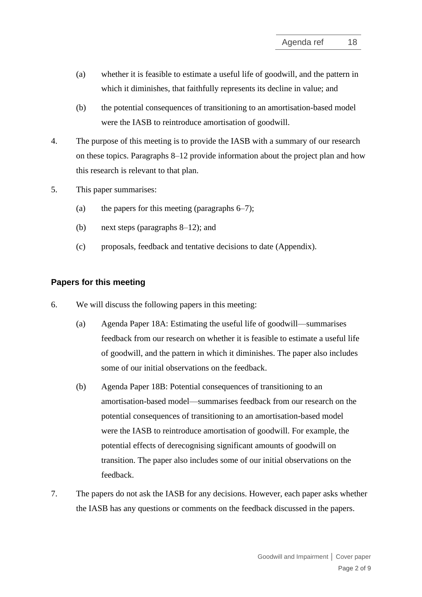- (a) whether it is feasible to estimate a useful life of goodwill, and the pattern in which it diminishes, that faithfully represents its decline in value; and
- (b) the potential consequences of transitioning to an amortisation-based model were the IASB to reintroduce amortisation of goodwill.
- 4. The purpose of this meeting is to provide the IASB with a summary of our research on these topics. Paragraphs 8–12 provide information about the project plan and how this research is relevant to that plan.
- 5. This paper summarises:
	- (a) the papers for this meeting (paragraphs  $6-7$ );
	- (b) next steps (paragraphs 8–12); and
	- (c) proposals, feedback and tentative decisions to date (Appendix).

#### **Papers for this meeting**

- 6. We will discuss the following papers in this meeting:
	- (a) Agenda Paper 18A: Estimating the useful life of goodwill—summarises feedback from our research on whether it is feasible to estimate a useful life of goodwill, and the pattern in which it diminishes. The paper also includes some of our initial observations on the feedback.
	- (b) Agenda Paper 18B: Potential consequences of transitioning to an amortisation-based model—summarises feedback from our research on the potential consequences of transitioning to an amortisation-based model were the IASB to reintroduce amortisation of goodwill. For example, the potential effects of derecognising significant amounts of goodwill on transition. The paper also includes some of our initial observations on the feedback.
- 7. The papers do not ask the IASB for any decisions. However, each paper asks whether the IASB has any questions or comments on the feedback discussed in the papers.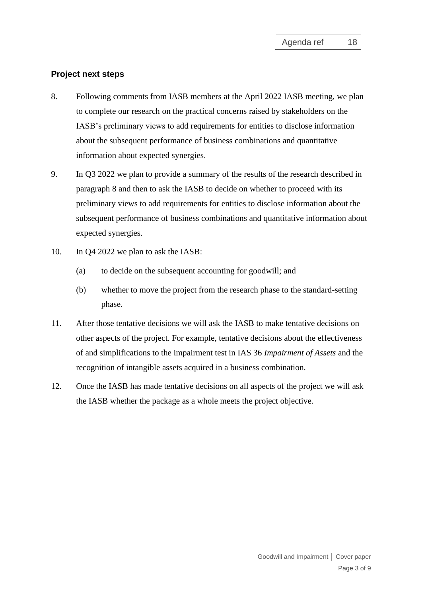### **Project next steps**

- 8. Following comments from IASB members at the April 2022 IASB meeting, we plan to complete our research on the practical concerns raised by stakeholders on the IASB's preliminary views to add requirements for entities to disclose information about the subsequent performance of business combinations and quantitative information about expected synergies.
- 9. In Q3 2022 we plan to provide a summary of the results of the research described in paragraph 8 and then to ask the IASB to decide on whether to proceed with its preliminary views to add requirements for entities to disclose information about the subsequent performance of business combinations and quantitative information about expected synergies.
- 10. In Q4 2022 we plan to ask the IASB:
	- (a) to decide on the subsequent accounting for goodwill; and
	- (b) whether to move the project from the research phase to the standard-setting phase.
- 11. After those tentative decisions we will ask the IASB to make tentative decisions on other aspects of the project. For example, tentative decisions about the effectiveness of and simplifications to the impairment test in IAS 36 *Impairment of Assets* and the recognition of intangible assets acquired in a business combination.
- 12. Once the IASB has made tentative decisions on all aspects of the project we will ask the IASB whether the package as a whole meets the project objective.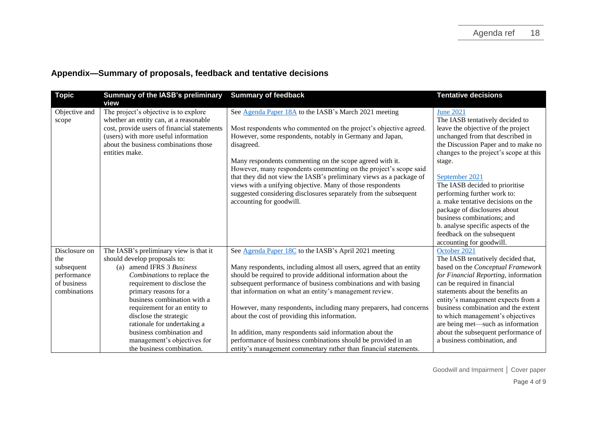| <b>Topic</b>                                                                     | <b>Summary of the IASB's preliminary</b><br>view                                                                                                                                                                                                                                                                                                                                                           | <b>Summary of feedback</b>                                                                                                                                                                                                                                                                                                                                                                                                                                                                                                                                                                                                                          | <b>Tentative decisions</b>                                                                                                                                                                                                                                                                                                                                                                                                                                                                                      |
|----------------------------------------------------------------------------------|------------------------------------------------------------------------------------------------------------------------------------------------------------------------------------------------------------------------------------------------------------------------------------------------------------------------------------------------------------------------------------------------------------|-----------------------------------------------------------------------------------------------------------------------------------------------------------------------------------------------------------------------------------------------------------------------------------------------------------------------------------------------------------------------------------------------------------------------------------------------------------------------------------------------------------------------------------------------------------------------------------------------------------------------------------------------------|-----------------------------------------------------------------------------------------------------------------------------------------------------------------------------------------------------------------------------------------------------------------------------------------------------------------------------------------------------------------------------------------------------------------------------------------------------------------------------------------------------------------|
| Objective and<br>scope                                                           | The project's objective is to explore<br>whether an entity can, at a reasonable<br>cost, provide users of financial statements<br>(users) with more useful information<br>about the business combinations those<br>entities make.                                                                                                                                                                          | See Agenda Paper 18A to the IASB's March 2021 meeting<br>Most respondents who commented on the project's objective agreed.<br>However, some respondents, notably in Germany and Japan,<br>disagreed.<br>Many respondents commenting on the scope agreed with it.<br>However, many respondents commenting on the project's scope said<br>that they did not view the IASB's preliminary views as a package of<br>views with a unifying objective. Many of those respondents<br>suggested considering disclosures separately from the subsequent<br>accounting for goodwill.                                                                           | <b>June 2021</b><br>The IASB tentatively decided to<br>leave the objective of the project<br>unchanged from that described in<br>the Discussion Paper and to make no<br>changes to the project's scope at this<br>stage.<br>September 2021<br>The IASB decided to prioritise<br>performing further work to:<br>a. make tentative decisions on the<br>package of disclosures about<br>business combinations; and<br>b. analyse specific aspects of the<br>feedback on the subsequent<br>accounting for goodwill. |
| Disclosure on<br>the<br>subsequent<br>performance<br>of business<br>combinations | The IASB's preliminary view is that it<br>should develop proposals to:<br>(a) amend IFRS 3 Business<br>Combinations to replace the<br>requirement to disclose the<br>primary reasons for a<br>business combination with a<br>requirement for an entity to<br>disclose the strategic<br>rationale for undertaking a<br>business combination and<br>management's objectives for<br>the business combination. | See Agenda Paper 18C to the IASB's April 2021 meeting<br>Many respondents, including almost all users, agreed that an entity<br>should be required to provide additional information about the<br>subsequent performance of business combinations and with basing<br>that information on what an entity's management review.<br>However, many respondents, including many preparers, had concerns<br>about the cost of providing this information.<br>In addition, many respondents said information about the<br>performance of business combinations should be provided in an<br>entity's management commentary rather than financial statements. | October 2021<br>The IASB tentatively decided that,<br>based on the Conceptual Framework<br>for Financial Reporting, information<br>can be required in financial<br>statements about the benefits an<br>entity's management expects from a<br>business combination and the extent<br>to which management's objectives<br>are being met-such as information<br>about the subsequent performance of<br>a business combination, and                                                                                 |

# **Appendix—Summary of proposals, feedback and tentative decisions**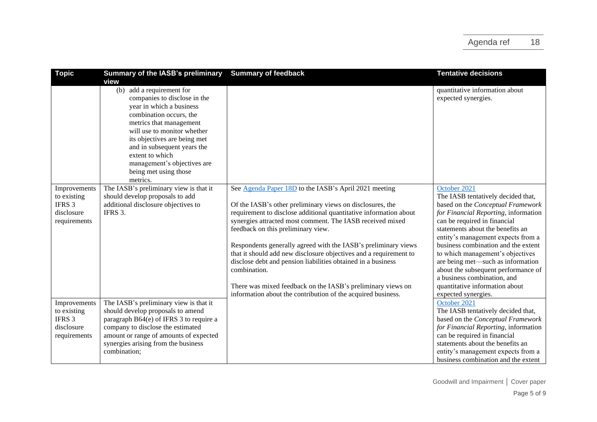| <b>Topic</b>                                                        | Summary of the IASB's preliminary<br>view                                                                                                                                                                                                                                                                                           | <b>Summary of feedback</b>                                                                                                                                                                                                                                                                                                                                                                                                                                                                                                                                                                                                                       | <b>Tentative decisions</b>                                                                                                                                                                                                                                                                                                                                                                                                                                                               |
|---------------------------------------------------------------------|-------------------------------------------------------------------------------------------------------------------------------------------------------------------------------------------------------------------------------------------------------------------------------------------------------------------------------------|--------------------------------------------------------------------------------------------------------------------------------------------------------------------------------------------------------------------------------------------------------------------------------------------------------------------------------------------------------------------------------------------------------------------------------------------------------------------------------------------------------------------------------------------------------------------------------------------------------------------------------------------------|------------------------------------------------------------------------------------------------------------------------------------------------------------------------------------------------------------------------------------------------------------------------------------------------------------------------------------------------------------------------------------------------------------------------------------------------------------------------------------------|
|                                                                     | add a requirement for<br>(b)<br>companies to disclose in the<br>year in which a business<br>combination occurs, the<br>metrics that management<br>will use to monitor whether<br>its objectives are being met<br>and in subsequent years the<br>extent to which<br>management's objectives are<br>being met using those<br>metrics. |                                                                                                                                                                                                                                                                                                                                                                                                                                                                                                                                                                                                                                                  | quantitative information about<br>expected synergies.                                                                                                                                                                                                                                                                                                                                                                                                                                    |
| Improvements<br>to existing<br>IFRS 3<br>disclosure<br>requirements | The IASB's preliminary view is that it<br>should develop proposals to add<br>additional disclosure objectives to<br>IFRS 3.                                                                                                                                                                                                         | See Agenda Paper 18D to the IASB's April 2021 meeting<br>Of the IASB's other preliminary views on disclosures, the<br>requirement to disclose additional quantitative information about<br>synergies attracted most comment. The IASB received mixed<br>feedback on this preliminary view.<br>Respondents generally agreed with the IASB's preliminary views<br>that it should add new disclosure objectives and a requirement to<br>disclose debt and pension liabilities obtained in a business<br>combination.<br>There was mixed feedback on the IASB's preliminary views on<br>information about the contribution of the acquired business. | October 2021<br>The IASB tentatively decided that,<br>based on the Conceptual Framework<br>for Financial Reporting, information<br>can be required in financial<br>statements about the benefits an<br>entity's management expects from a<br>business combination and the extent<br>to which management's objectives<br>are being met-such as information<br>about the subsequent performance of<br>a business combination, and<br>quantitative information about<br>expected synergies. |
| Improvements<br>to existing<br>IFRS 3<br>disclosure<br>requirements | The IASB's preliminary view is that it<br>should develop proposals to amend<br>paragraph B64(e) of IFRS 3 to require a<br>company to disclose the estimated<br>amount or range of amounts of expected<br>synergies arising from the business<br>combination;                                                                        |                                                                                                                                                                                                                                                                                                                                                                                                                                                                                                                                                                                                                                                  | October 2021<br>The IASB tentatively decided that,<br>based on the Conceptual Framework<br>for Financial Reporting, information<br>can be required in financial<br>statements about the benefits an<br>entity's management expects from a<br>business combination and the extent                                                                                                                                                                                                         |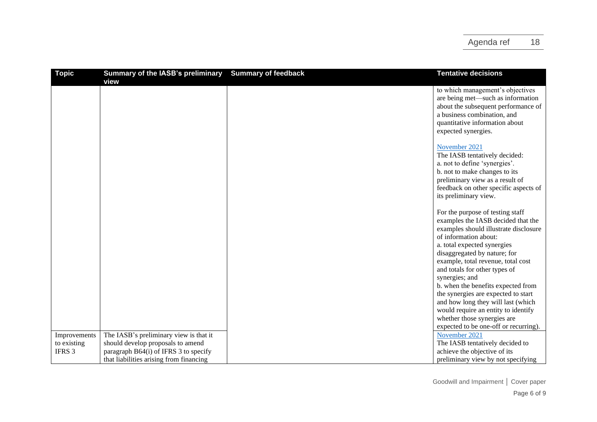| <b>Topic</b> | <b>Summary of the IASB's preliminary</b> | <b>Summary of feedback</b> | <b>Tentative decisions</b>            |
|--------------|------------------------------------------|----------------------------|---------------------------------------|
|              | view                                     |                            |                                       |
|              |                                          |                            | to which management's objectives      |
|              |                                          |                            | are being met-such as information     |
|              |                                          |                            | about the subsequent performance of   |
|              |                                          |                            | a business combination, and           |
|              |                                          |                            | quantitative information about        |
|              |                                          |                            | expected synergies.                   |
|              |                                          |                            | November 2021                         |
|              |                                          |                            | The IASB tentatively decided:         |
|              |                                          |                            | a. not to define 'synergies'.         |
|              |                                          |                            | b. not to make changes to its         |
|              |                                          |                            | preliminary view as a result of       |
|              |                                          |                            | feedback on other specific aspects of |
|              |                                          |                            | its preliminary view.                 |
|              |                                          |                            |                                       |
|              |                                          |                            | For the purpose of testing staff      |
|              |                                          |                            | examples the IASB decided that the    |
|              |                                          |                            | examples should illustrate disclosure |
|              |                                          |                            | of information about:                 |
|              |                                          |                            | a. total expected synergies           |
|              |                                          |                            | disaggregated by nature; for          |
|              |                                          |                            | example, total revenue, total cost    |
|              |                                          |                            | and totals for other types of         |
|              |                                          |                            | synergies; and                        |
|              |                                          |                            | b. when the benefits expected from    |
|              |                                          |                            | the synergies are expected to start   |
|              |                                          |                            | and how long they will last (which    |
|              |                                          |                            | would require an entity to identify   |
|              |                                          |                            | whether those synergies are           |
|              |                                          |                            | expected to be one-off or recurring). |
| Improvements | The IASB's preliminary view is that it   |                            | November 2021                         |
| to existing  | should develop proposals to amend        |                            | The IASB tentatively decided to       |
| IFRS 3       | paragraph B64(i) of IFRS 3 to specify    |                            | achieve the objective of its          |
|              | that liabilities arising from financing  |                            | preliminary view by not specifying    |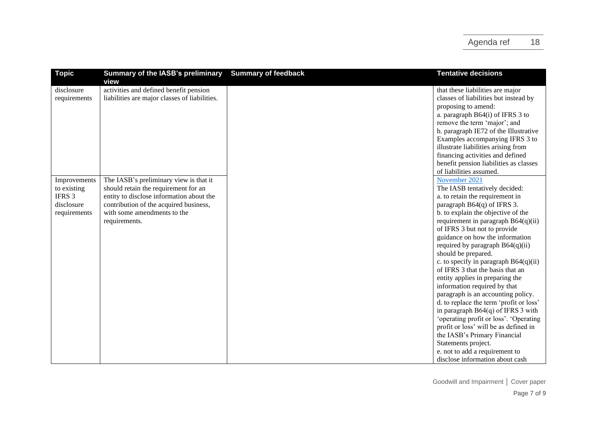| <b>Topic</b> | <b>Summary of the IASB's preliminary</b>      | <b>Summary of feedback</b> | <b>Tentative decisions</b>              |
|--------------|-----------------------------------------------|----------------------------|-----------------------------------------|
|              | view                                          |                            |                                         |
| disclosure   | activities and defined benefit pension        |                            | that these liabilities are major        |
| requirements | liabilities are major classes of liabilities. |                            | classes of liabilities but instead by   |
|              |                                               |                            | proposing to amend:                     |
|              |                                               |                            | a. paragraph B64(i) of IFRS 3 to        |
|              |                                               |                            | remove the term 'major'; and            |
|              |                                               |                            | b. paragraph IE72 of the Illustrative   |
|              |                                               |                            | Examples accompanying IFRS 3 to         |
|              |                                               |                            | illustrate liabilities arising from     |
|              |                                               |                            | financing activities and defined        |
|              |                                               |                            | benefit pension liabilities as classes  |
|              |                                               |                            | of liabilities assumed.                 |
| Improvements | The IASB's preliminary view is that it        |                            | November 2021                           |
| to existing  | should retain the requirement for an          |                            | The IASB tentatively decided:           |
| IFRS 3       | entity to disclose information about the      |                            | a. to retain the requirement in         |
| disclosure   | contribution of the acquired business,        |                            | paragraph $B64(q)$ of IFRS 3.           |
| requirements | with some amendments to the                   |                            | b. to explain the objective of the      |
|              | requirements.                                 |                            | requirement in paragraph $B64(q)(ii)$   |
|              |                                               |                            | of IFRS 3 but not to provide            |
|              |                                               |                            | guidance on how the information         |
|              |                                               |                            | required by paragraph $B64(q)(ii)$      |
|              |                                               |                            | should be prepared.                     |
|              |                                               |                            | c. to specify in paragraph B64(q)(ii)   |
|              |                                               |                            | of IFRS 3 that the basis that an        |
|              |                                               |                            |                                         |
|              |                                               |                            | entity applies in preparing the         |
|              |                                               |                            | information required by that            |
|              |                                               |                            | paragraph is an accounting policy.      |
|              |                                               |                            | d. to replace the term 'profit or loss' |
|              |                                               |                            | in paragraph $B64(q)$ of IFRS 3 with    |
|              |                                               |                            | 'operating profit or loss'. 'Operating  |
|              |                                               |                            | profit or loss' will be as defined in   |
|              |                                               |                            | the IASB's Primary Financial            |
|              |                                               |                            | Statements project.                     |
|              |                                               |                            | e. not to add a requirement to          |
|              |                                               |                            | disclose information about cash         |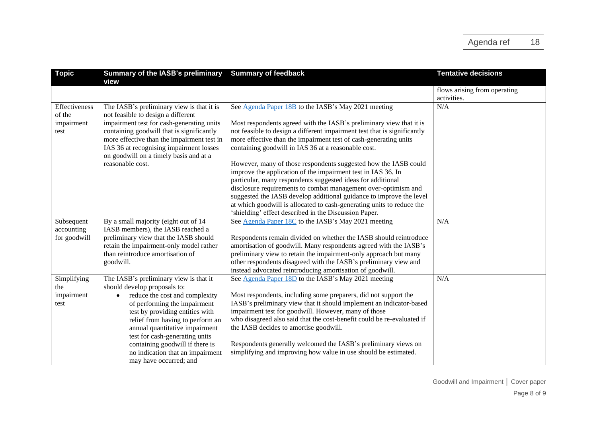| <b>Topic</b>                                  | <b>Summary of the IASB's preliminary</b><br>view                                                                                                                                                                                                                                                                                                                                                  | <b>Summary of feedback</b>                                                                                                                                                                                                                                                                                                                                                                                                                                                                                                                                                                                                                                                                                                                            | <b>Tentative decisions</b>                  |
|-----------------------------------------------|---------------------------------------------------------------------------------------------------------------------------------------------------------------------------------------------------------------------------------------------------------------------------------------------------------------------------------------------------------------------------------------------------|-------------------------------------------------------------------------------------------------------------------------------------------------------------------------------------------------------------------------------------------------------------------------------------------------------------------------------------------------------------------------------------------------------------------------------------------------------------------------------------------------------------------------------------------------------------------------------------------------------------------------------------------------------------------------------------------------------------------------------------------------------|---------------------------------------------|
|                                               |                                                                                                                                                                                                                                                                                                                                                                                                   |                                                                                                                                                                                                                                                                                                                                                                                                                                                                                                                                                                                                                                                                                                                                                       | flows arising from operating<br>activities. |
| Effectiveness<br>of the<br>impairment<br>test | The IASB's preliminary view is that it is<br>not feasible to design a different<br>impairment test for cash-generating units<br>containing goodwill that is significantly<br>more effective than the impairment test in<br>IAS 36 at recognising impairment losses<br>on goodwill on a timely basis and at a<br>reasonable cost.                                                                  | See Agenda Paper 18B to the IASB's May 2021 meeting<br>Most respondents agreed with the IASB's preliminary view that it is<br>not feasible to design a different impairment test that is significantly<br>more effective than the impairment test of cash-generating units<br>containing goodwill in IAS 36 at a reasonable cost.<br>However, many of those respondents suggested how the IASB could<br>improve the application of the impairment test in IAS 36. In<br>particular, many respondents suggested ideas for additional<br>disclosure requirements to combat management over-optimism and<br>suggested the IASB develop additional guidance to improve the level<br>at which goodwill is allocated to cash-generating units to reduce the | N/A                                         |
| Subsequent<br>accounting<br>for goodwill      | By a small majority (eight out of 14<br>IASB members), the IASB reached a<br>preliminary view that the IASB should<br>retain the impairment-only model rather<br>than reintroduce amortisation of<br>goodwill.                                                                                                                                                                                    | 'shielding' effect described in the Discussion Paper.<br>See Agenda Paper 18C to the IASB's May 2021 meeting<br>Respondents remain divided on whether the IASB should reintroduce<br>amortisation of goodwill. Many respondents agreed with the IASB's<br>preliminary view to retain the impairment-only approach but many<br>other respondents disagreed with the IASB's preliminary view and<br>instead advocated reintroducing amortisation of goodwill.                                                                                                                                                                                                                                                                                           | N/A                                         |
| Simplifying<br>the<br>impairment<br>test      | The IASB's preliminary view is that it<br>should develop proposals to:<br>reduce the cost and complexity<br>$\bullet$<br>of performing the impairment<br>test by providing entities with<br>relief from having to perform an<br>annual quantitative impairment<br>test for cash-generating units<br>containing goodwill if there is<br>no indication that an impairment<br>may have occurred; and | See Agenda Paper 18D to the IASB's May 2021 meeting<br>Most respondents, including some preparers, did not support the<br>IASB's preliminary view that it should implement an indicator-based<br>impairment test for goodwill. However, many of those<br>who disagreed also said that the cost-benefit could be re-evaluated if<br>the IASB decides to amortise goodwill.<br>Respondents generally welcomed the IASB's preliminary views on<br>simplifying and improving how value in use should be estimated.                                                                                                                                                                                                                                        | N/A                                         |